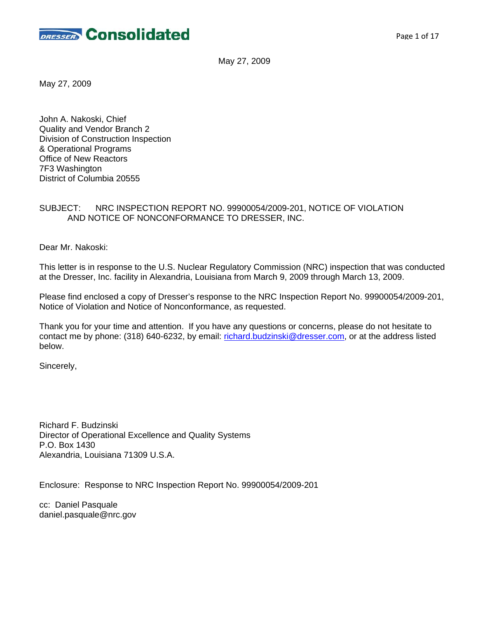

May 27, 2009

May 27, 2009

John A. Nakoski, Chief Quality and Vendor Branch 2 Division of Construction Inspection & Operational Programs Office of New Reactors 7F3 Washington District of Columbia 20555

### SUBJECT: NRC INSPECTION REPORT NO. 99900054/2009-201, NOTICE OF VIOLATION AND NOTICE OF NONCONFORMANCE TO DRESSER, INC.

Dear Mr. Nakoski:

This letter is in response to the U.S. Nuclear Regulatory Commission (NRC) inspection that was conducted at the Dresser, Inc. facility in Alexandria, Louisiana from March 9, 2009 through March 13, 2009.

Please find enclosed a copy of Dresser's response to the NRC Inspection Report No. 99900054/2009-201, Notice of Violation and Notice of Nonconformance, as requested.

Thank you for your time and attention. If you have any questions or concerns, please do not hesitate to contact me by phone: (318) 640-6232, by email: richard.budzinski@dresser.com, or at the address listed below.

Sincerely,

Richard F. Budzinski Director of Operational Excellence and Quality Systems P.O. Box 1430 Alexandria, Louisiana 71309 U.S.A.

Enclosure: Response to NRC Inspection Report No. 99900054/2009-201

cc: Daniel Pasquale daniel.pasquale@nrc.gov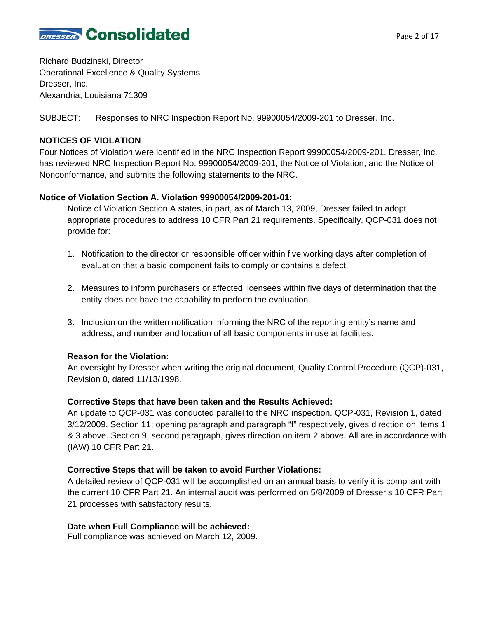

Richard Budzinski, Director Operational Excellence & Quality Systems Dresser, Inc. Alexandria, Louisiana 71309

SUBJECT: Responses to NRC Inspection Report No. 99900054/2009-201 to Dresser, Inc.

## **NOTICES OF VIOLATION**

Four Notices of Violation were identified in the NRC Inspection Report 99900054/2009-201. Dresser, Inc. has reviewed NRC Inspection Report No. 99900054/2009-201, the Notice of Violation, and the Notice of Nonconformance, and submits the following statements to the NRC.

## **Notice of Violation Section A. Violation 99900054/2009-201-01:**

Notice of Violation Section A states, in part, as of March 13, 2009, Dresser failed to adopt appropriate procedures to address 10 CFR Part 21 requirements. Specifically, QCP-031 does not provide for:

- 1. Notification to the director or responsible officer within five working days after completion of evaluation that a basic component fails to comply or contains a defect.
- 2. Measures to inform purchasers or affected licensees within five days of determination that the entity does not have the capability to perform the evaluation.
- 3. Inclusion on the written notification informing the NRC of the reporting entity's name and address, and number and location of all basic components in use at facilities.

## **Reason for the Violation:**

An oversight by Dresser when writing the original document, Quality Control Procedure (QCP)-031, Revision 0, dated 11/13/1998.

## **Corrective Steps that have been taken and the Results Achieved:**

An update to QCP-031 was conducted parallel to the NRC inspection. QCP-031, Revision 1, dated 3/12/2009, Section 11; opening paragraph and paragraph "f" respectively, gives direction on items 1 & 3 above. Section 9, second paragraph, gives direction on item 2 above. All are in accordance with (IAW) 10 CFR Part 21.

## **Corrective Steps that will be taken to avoid Further Violations:**

A detailed review of QCP-031 will be accomplished on an annual basis to verify it is compliant with the current 10 CFR Part 21. An internal audit was performed on 5/8/2009 of Dresser's 10 CFR Part 21 processes with satisfactory results.

## **Date when Full Compliance will be achieved:**

Full compliance was achieved on March 12, 2009.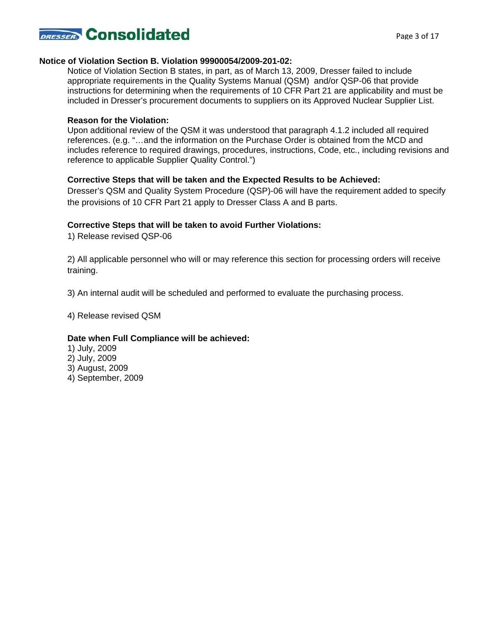

#### **Notice of Violation Section B. Violation 99900054/2009-201-02:**

Notice of Violation Section B states, in part, as of March 13, 2009, Dresser failed to include appropriate requirements in the Quality Systems Manual (QSM) and/or QSP-06 that provide instructions for determining when the requirements of 10 CFR Part 21 are applicability and must be included in Dresser's procurement documents to suppliers on its Approved Nuclear Supplier List.

### **Reason for the Violation:**

Upon additional review of the QSM it was understood that paragraph 4.1.2 included all required references. (e.g. "…and the information on the Purchase Order is obtained from the MCD and includes reference to required drawings, procedures, instructions, Code, etc., including revisions and reference to applicable Supplier Quality Control.")

### **Corrective Steps that will be taken and the Expected Results to be Achieved:**

Dresser's QSM and Quality System Procedure (QSP)-06 will have the requirement added to specify the provisions of 10 CFR Part 21 apply to Dresser Class A and B parts.

### **Corrective Steps that will be taken to avoid Further Violations:**

1) Release revised QSP-06

2) All applicable personnel who will or may reference this section for processing orders will receive training.

3) An internal audit will be scheduled and performed to evaluate the purchasing process.

4) Release revised QSM

#### **Date when Full Compliance will be achieved:**

1) July, 2009 2) July, 2009 3) August, 2009 4) September, 2009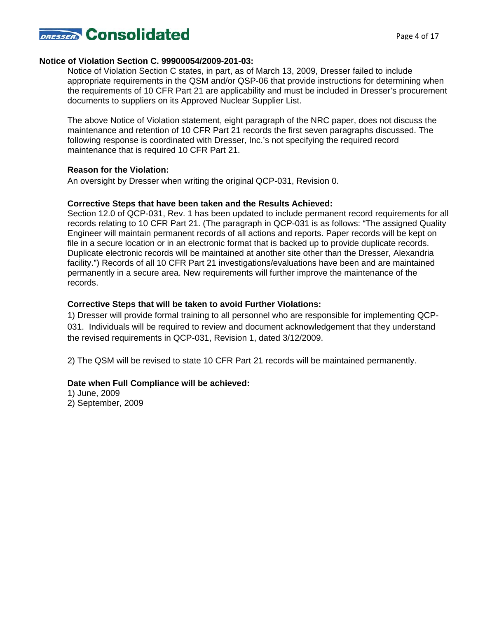

#### **Notice of Violation Section C. 99900054/2009-201-03:**

Notice of Violation Section C states, in part, as of March 13, 2009, Dresser failed to include appropriate requirements in the QSM and/or QSP-06 that provide instructions for determining when the requirements of 10 CFR Part 21 are applicability and must be included in Dresser's procurement documents to suppliers on its Approved Nuclear Supplier List.

The above Notice of Violation statement, eight paragraph of the NRC paper, does not discuss the maintenance and retention of 10 CFR Part 21 records the first seven paragraphs discussed. The following response is coordinated with Dresser, Inc.'s not specifying the required record maintenance that is required 10 CFR Part 21.

#### **Reason for the Violation:**

An oversight by Dresser when writing the original QCP-031, Revision 0.

#### **Corrective Steps that have been taken and the Results Achieved:**

Section 12.0 of QCP-031, Rev. 1 has been updated to include permanent record requirements for all records relating to 10 CFR Part 21. (The paragraph in QCP-031 is as follows: "The assigned Quality Engineer will maintain permanent records of all actions and reports. Paper records will be kept on file in a secure location or in an electronic format that is backed up to provide duplicate records. Duplicate electronic records will be maintained at another site other than the Dresser, Alexandria facility.") Records of all 10 CFR Part 21 investigations/evaluations have been and are maintained permanently in a secure area. New requirements will further improve the maintenance of the records.

#### **Corrective Steps that will be taken to avoid Further Violations:**

1) Dresser will provide formal training to all personnel who are responsible for implementing QCP-031. Individuals will be required to review and document acknowledgement that they understand the revised requirements in QCP-031, Revision 1, dated 3/12/2009.

2) The QSM will be revised to state 10 CFR Part 21 records will be maintained permanently.

#### **Date when Full Compliance will be achieved:**

1) June, 2009 2) September, 2009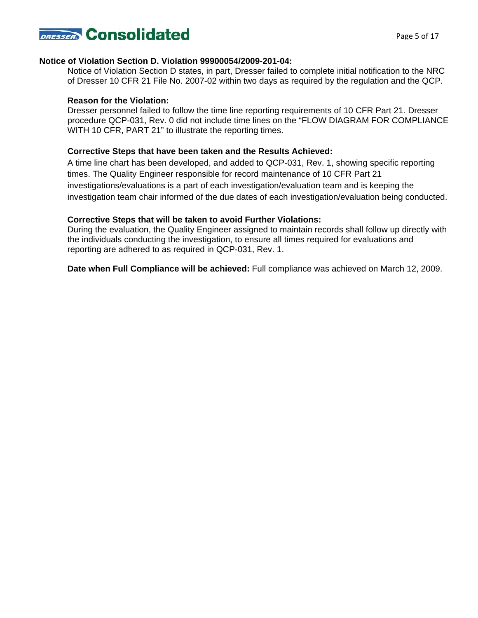

#### **Notice of Violation Section D. Violation 99900054/2009-201-04:**

Notice of Violation Section D states, in part, Dresser failed to complete initial notification to the NRC of Dresser 10 CFR 21 File No. 2007-02 within two days as required by the regulation and the QCP.

#### **Reason for the Violation:**

Dresser personnel failed to follow the time line reporting requirements of 10 CFR Part 21. Dresser procedure QCP-031, Rev. 0 did not include time lines on the "FLOW DIAGRAM FOR COMPLIANCE WITH 10 CFR, PART 21" to illustrate the reporting times.

#### **Corrective Steps that have been taken and the Results Achieved:**

A time line chart has been developed, and added to QCP-031, Rev. 1, showing specific reporting times. The Quality Engineer responsible for record maintenance of 10 CFR Part 21 investigations/evaluations is a part of each investigation/evaluation team and is keeping the investigation team chair informed of the due dates of each investigation/evaluation being conducted.

#### **Corrective Steps that will be taken to avoid Further Violations:**

During the evaluation, the Quality Engineer assigned to maintain records shall follow up directly with the individuals conducting the investigation, to ensure all times required for evaluations and reporting are adhered to as required in QCP-031, Rev. 1.

**Date when Full Compliance will be achieved:** Full compliance was achieved on March 12, 2009.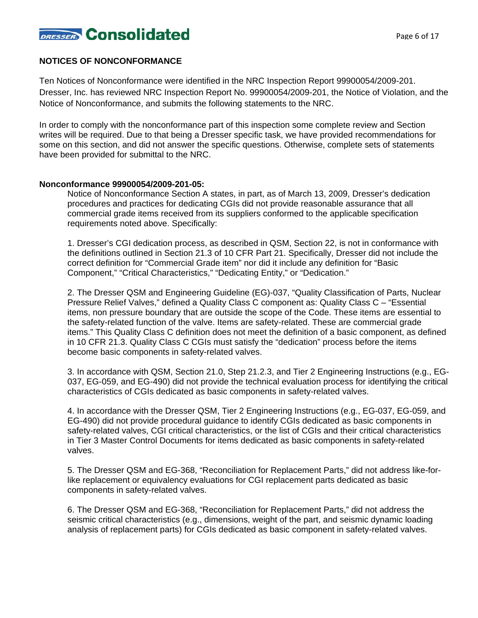

## **NOTICES OF NONCONFORMANCE**

Ten Notices of Nonconformance were identified in the NRC Inspection Report 99900054/2009-201. Dresser, Inc. has reviewed NRC Inspection Report No. 99900054/2009-201, the Notice of Violation, and the Notice of Nonconformance, and submits the following statements to the NRC.

In order to comply with the nonconformance part of this inspection some complete review and Section writes will be required. Due to that being a Dresser specific task, we have provided recommendations for some on this section, and did not answer the specific questions. Otherwise, complete sets of statements have been provided for submittal to the NRC.

#### **Nonconformance 99900054/2009-201-05:**

Notice of Nonconformance Section A states, in part, as of March 13, 2009, Dresser's dedication procedures and practices for dedicating CGIs did not provide reasonable assurance that all commercial grade items received from its suppliers conformed to the applicable specification requirements noted above. Specifically:

1. Dresser's CGI dedication process, as described in QSM, Section 22, is not in conformance with the definitions outlined in Section 21.3 of 10 CFR Part 21. Specifically, Dresser did not include the correct definition for "Commercial Grade item" nor did it include any definition for "Basic Component," "Critical Characteristics," "Dedicating Entity," or "Dedication."

2. The Dresser QSM and Engineering Guideline (EG)-037, "Quality Classification of Parts, Nuclear Pressure Relief Valves," defined a Quality Class C component as: Quality Class C – "Essential items, non pressure boundary that are outside the scope of the Code. These items are essential to the safety-related function of the valve. Items are safety-related. These are commercial grade items." This Quality Class C definition does not meet the definition of a basic component, as defined in 10 CFR 21.3. Quality Class C CGIs must satisfy the "dedication" process before the items become basic components in safety-related valves.

3. In accordance with QSM, Section 21.0, Step 21.2.3, and Tier 2 Engineering Instructions (e.g., EG-037, EG-059, and EG-490) did not provide the technical evaluation process for identifying the critical characteristics of CGIs dedicated as basic components in safety-related valves.

4. In accordance with the Dresser QSM, Tier 2 Engineering Instructions (e.g., EG-037, EG-059, and EG-490) did not provide procedural guidance to identify CGIs dedicated as basic components in safety-related valves, CGI critical characteristics, or the list of CGIs and their critical characteristics in Tier 3 Master Control Documents for items dedicated as basic components in safety-related valves.

5. The Dresser QSM and EG-368, "Reconciliation for Replacement Parts," did not address like-forlike replacement or equivalency evaluations for CGI replacement parts dedicated as basic components in safety-related valves.

6. The Dresser QSM and EG-368, "Reconciliation for Replacement Parts," did not address the seismic critical characteristics (e.g., dimensions, weight of the part, and seismic dynamic loading analysis of replacement parts) for CGIs dedicated as basic component in safety-related valves.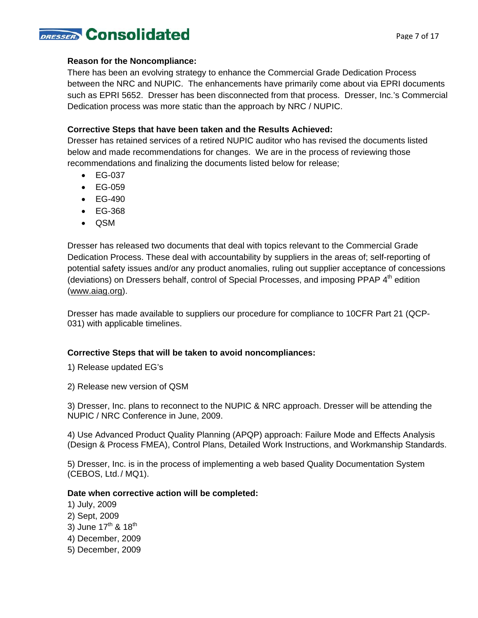# DRESSER Consolidated

## **Reason for the Noncompliance:**

There has been an evolving strategy to enhance the Commercial Grade Dedication Process between the NRC and NUPIC. The enhancements have primarily come about via EPRI documents such as EPRI 5652. Dresser has been disconnected from that process. Dresser, Inc.'s Commercial Dedication process was more static than the approach by NRC / NUPIC.

## **Corrective Steps that have been taken and the Results Achieved:**

Dresser has retained services of a retired NUPIC auditor who has revised the documents listed below and made recommendations for changes. We are in the process of reviewing those recommendations and finalizing the documents listed below for release;

- EG-037
- EG-059
- EG-490
- EG-368
- QSM

Dresser has released two documents that deal with topics relevant to the Commercial Grade Dedication Process. These deal with accountability by suppliers in the areas of; self-reporting of potential safety issues and/or any product anomalies, ruling out supplier acceptance of concessions (deviations) on Dressers behalf, control of Special Processes, and imposing PPAP 4<sup>th</sup> edition (www.aiag.org).

Dresser has made available to suppliers our procedure for compliance to 10CFR Part 21 (QCP-031) with applicable timelines.

## **Corrective Steps that will be taken to avoid noncompliances:**

1) Release updated EG's

2) Release new version of QSM

3) Dresser, Inc. plans to reconnect to the NUPIC & NRC approach. Dresser will be attending the NUPIC / NRC Conference in June, 2009.

4) Use Advanced Product Quality Planning (APQP) approach: Failure Mode and Effects Analysis (Design & Process FMEA), Control Plans, Detailed Work Instructions, and Workmanship Standards.

5) Dresser, Inc. is in the process of implementing a web based Quality Documentation System (CEBOS, Ltd./ MQ1).

## **Date when corrective action will be completed:**

- 1) July, 2009
- 2) Sept, 2009
- 3) June  $17^{th}$  &  $18^{th}$
- 4) December, 2009
- 5) December, 2009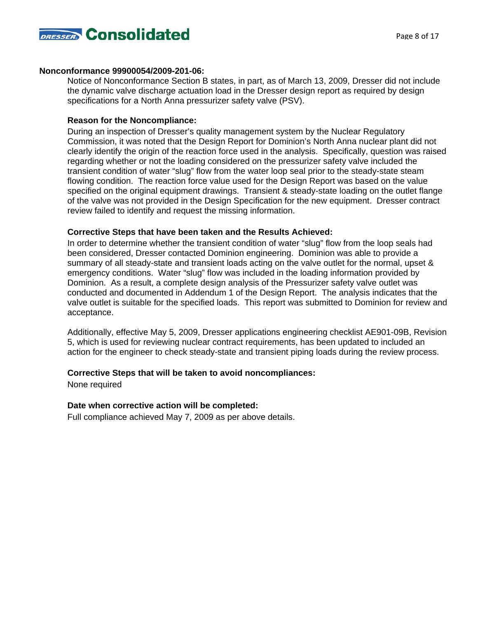

#### **Nonconformance 99900054/2009-201-06:**

Notice of Nonconformance Section B states, in part, as of March 13, 2009, Dresser did not include the dynamic valve discharge actuation load in the Dresser design report as required by design specifications for a North Anna pressurizer safety valve (PSV).

## **Reason for the Noncompliance:**

During an inspection of Dresser's quality management system by the Nuclear Regulatory Commission, it was noted that the Design Report for Dominion's North Anna nuclear plant did not clearly identify the origin of the reaction force used in the analysis. Specifically, question was raised regarding whether or not the loading considered on the pressurizer safety valve included the transient condition of water "slug" flow from the water loop seal prior to the steady-state steam flowing condition. The reaction force value used for the Design Report was based on the value specified on the original equipment drawings. Transient & steady-state loading on the outlet flange of the valve was not provided in the Design Specification for the new equipment. Dresser contract review failed to identify and request the missing information.

### **Corrective Steps that have been taken and the Results Achieved:**

In order to determine whether the transient condition of water "slug" flow from the loop seals had been considered, Dresser contacted Dominion engineering. Dominion was able to provide a summary of all steady-state and transient loads acting on the valve outlet for the normal, upset & emergency conditions. Water "slug" flow was included in the loading information provided by Dominion. As a result, a complete design analysis of the Pressurizer safety valve outlet was conducted and documented in Addendum 1 of the Design Report. The analysis indicates that the valve outlet is suitable for the specified loads. This report was submitted to Dominion for review and acceptance.

Additionally, effective May 5, 2009, Dresser applications engineering checklist AE901-09B, Revision 5, which is used for reviewing nuclear contract requirements, has been updated to included an action for the engineer to check steady-state and transient piping loads during the review process.

## **Corrective Steps that will be taken to avoid noncompliances:**

None required

#### **Date when corrective action will be completed:**

Full compliance achieved May 7, 2009 as per above details.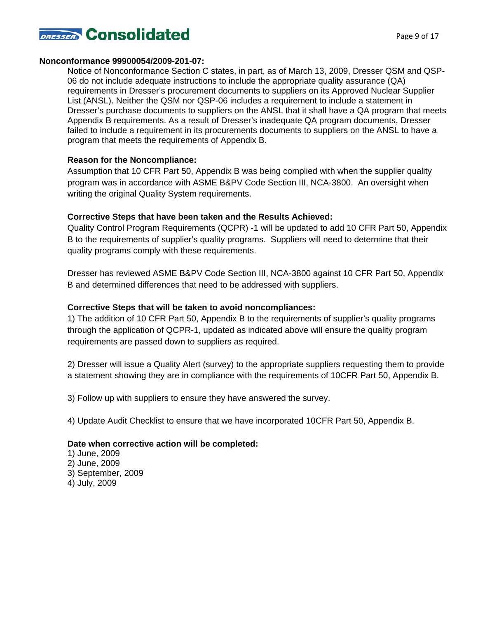

#### **Nonconformance 99900054/2009-201-07:**

Notice of Nonconformance Section C states, in part, as of March 13, 2009, Dresser QSM and QSP-06 do not include adequate instructions to include the appropriate quality assurance (QA) requirements in Dresser's procurement documents to suppliers on its Approved Nuclear Supplier List (ANSL). Neither the QSM nor QSP-06 includes a requirement to include a statement in Dresser's purchase documents to suppliers on the ANSL that it shall have a QA program that meets Appendix B requirements. As a result of Dresser's inadequate QA program documents, Dresser failed to include a requirement in its procurements documents to suppliers on the ANSL to have a program that meets the requirements of Appendix B.

### **Reason for the Noncompliance:**

Assumption that 10 CFR Part 50, Appendix B was being complied with when the supplier quality program was in accordance with ASME B&PV Code Section III, NCA-3800. An oversight when writing the original Quality System requirements.

### **Corrective Steps that have been taken and the Results Achieved:**

Quality Control Program Requirements (QCPR) -1 will be updated to add 10 CFR Part 50, Appendix B to the requirements of supplier's quality programs. Suppliers will need to determine that their quality programs comply with these requirements.

Dresser has reviewed ASME B&PV Code Section III, NCA-3800 against 10 CFR Part 50, Appendix B and determined differences that need to be addressed with suppliers.

### **Corrective Steps that will be taken to avoid noncompliances:**

1) The addition of 10 CFR Part 50, Appendix B to the requirements of supplier's quality programs through the application of QCPR-1, updated as indicated above will ensure the quality program requirements are passed down to suppliers as required.

2) Dresser will issue a Quality Alert (survey) to the appropriate suppliers requesting them to provide a statement showing they are in compliance with the requirements of 10CFR Part 50, Appendix B.

3) Follow up with suppliers to ensure they have answered the survey.

4) Update Audit Checklist to ensure that we have incorporated 10CFR Part 50, Appendix B.

#### **Date when corrective action will be completed:**

1) June, 2009 2) June, 2009 3) September, 2009 4) July, 2009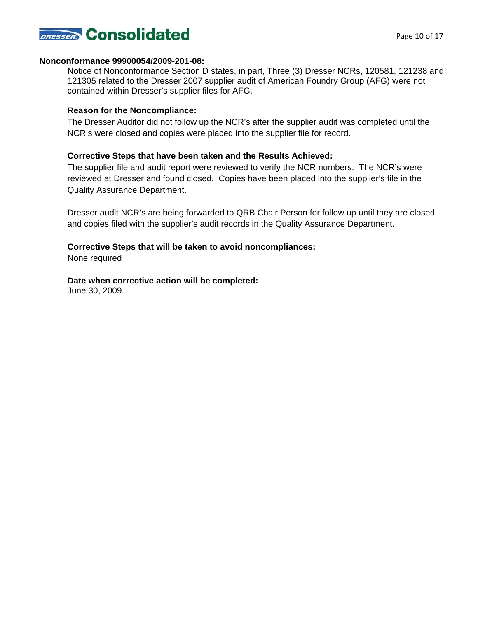

#### **Nonconformance 99900054/2009-201-08:**

Notice of Nonconformance Section D states, in part, Three (3) Dresser NCRs, 120581, 121238 and 121305 related to the Dresser 2007 supplier audit of American Foundry Group (AFG) were not contained within Dresser's supplier files for AFG.

#### **Reason for the Noncompliance:**

The Dresser Auditor did not follow up the NCR's after the supplier audit was completed until the NCR's were closed and copies were placed into the supplier file for record.

#### **Corrective Steps that have been taken and the Results Achieved:**

The supplier file and audit report were reviewed to verify the NCR numbers. The NCR's were reviewed at Dresser and found closed. Copies have been placed into the supplier's file in the Quality Assurance Department.

Dresser audit NCR's are being forwarded to QRB Chair Person for follow up until they are closed and copies filed with the supplier's audit records in the Quality Assurance Department.

#### **Corrective Steps that will be taken to avoid noncompliances:**

None required

**Date when corrective action will be completed:** 

June 30, 2009.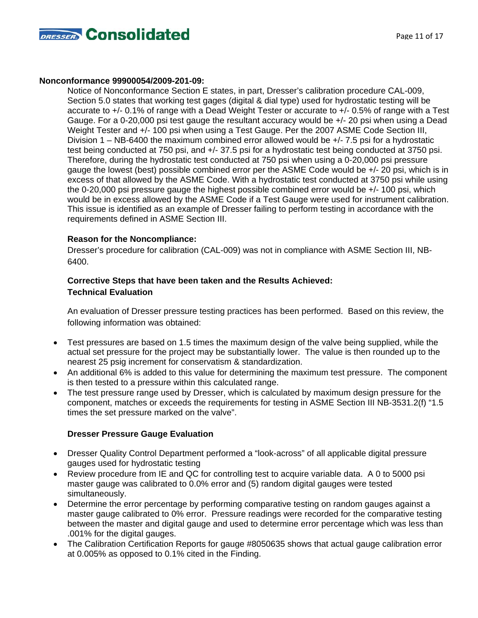

#### **Nonconformance 99900054/2009-201-09:**

Notice of Nonconformance Section E states, in part, Dresser's calibration procedure CAL-009, Section 5.0 states that working test gages (digital & dial type) used for hydrostatic testing will be accurate to +/- 0.1% of range with a Dead Weight Tester or accurate to +/- 0.5% of range with a Test Gauge. For a 0-20,000 psi test gauge the resultant accuracy would be +/- 20 psi when using a Dead Weight Tester and +/- 100 psi when using a Test Gauge. Per the 2007 ASME Code Section III, Division 1 – NB-6400 the maximum combined error allowed would be  $+/- 7.5$  psi for a hydrostatic test being conducted at 750 psi, and +/- 37.5 psi for a hydrostatic test being conducted at 3750 psi. Therefore, during the hydrostatic test conducted at 750 psi when using a 0-20,000 psi pressure gauge the lowest (best) possible combined error per the ASME Code would be +/- 20 psi, which is in excess of that allowed by the ASME Code. With a hydrostatic test conducted at 3750 psi while using the 0-20,000 psi pressure gauge the highest possible combined error would be +/- 100 psi, which would be in excess allowed by the ASME Code if a Test Gauge were used for instrument calibration. This issue is identified as an example of Dresser failing to perform testing in accordance with the requirements defined in ASME Section III.

### **Reason for the Noncompliance:**

 Dresser's procedure for calibration (CAL-009) was not in compliance with ASME Section III, NB- 6400.

## **Corrective Steps that have been taken and the Results Achieved: Technical Evaluation**

 An evaluation of Dresser pressure testing practices has been performed. Based on this review, the following information was obtained:

- Test pressures are based on 1.5 times the maximum design of the valve being supplied, while the actual set pressure for the project may be substantially lower. The value is then rounded up to the nearest 25 psig increment for conservatism & standardization.
- An additional 6% is added to this value for determining the maximum test pressure. The component is then tested to a pressure within this calculated range.
- The test pressure range used by Dresser, which is calculated by maximum design pressure for the component, matches or exceeds the requirements for testing in ASME Section III NB-3531.2(f) "1.5 times the set pressure marked on the valve".

## **Dresser Pressure Gauge Evaluation**

- Dresser Quality Control Department performed a "look-across" of all applicable digital pressure gauges used for hydrostatic testing
- Review procedure from IE and QC for controlling test to acquire variable data. A 0 to 5000 psi master gauge was calibrated to 0.0% error and (5) random digital gauges were tested simultaneously.
- Determine the error percentage by performing comparative testing on random gauges against a master gauge calibrated to 0% error. Pressure readings were recorded for the comparative testing between the master and digital gauge and used to determine error percentage which was less than .001% for the digital gauges.
- The Calibration Certification Reports for gauge #8050635 shows that actual gauge calibration error at 0.005% as opposed to 0.1% cited in the Finding.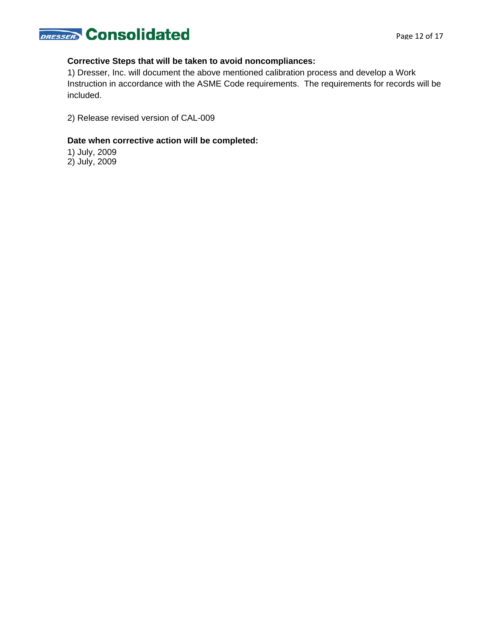

## **Corrective Steps that will be taken to avoid noncompliances:**

1) Dresser, Inc. will document the above mentioned calibration process and develop a Work Instruction in accordance with the ASME Code requirements. The requirements for records will be included.

2) Release revised version of CAL-009

### **Date when corrective action will be completed:**

1) July, 2009 2) July, 2009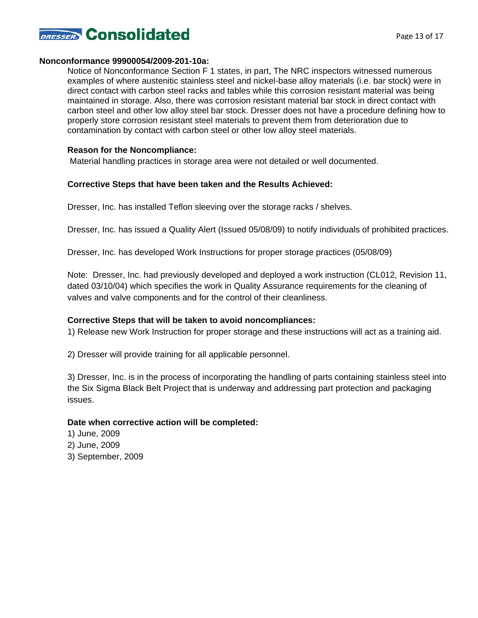

#### **Nonconformance 99900054/2009-201-10a:**

Notice of Nonconformance Section F 1 states, in part, The NRC inspectors witnessed numerous examples of where austenitic stainless steel and nickel-base alloy materials (i.e. bar stock) were in direct contact with carbon steel racks and tables while this corrosion resistant material was being maintained in storage. Also, there was corrosion resistant material bar stock in direct contact with carbon steel and other low alloy steel bar stock. Dresser does not have a procedure defining how to properly store corrosion resistant steel materials to prevent them from deterioration due to contamination by contact with carbon steel or other low alloy steel materials.

#### **Reason for the Noncompliance:**

Material handling practices in storage area were not detailed or well documented.

#### **Corrective Steps that have been taken and the Results Achieved:**

Dresser, Inc. has installed Teflon sleeving over the storage racks / shelves.

Dresser, Inc. has issued a Quality Alert (Issued 05/08/09) to notify individuals of prohibited practices.

Dresser, Inc. has developed Work Instructions for proper storage practices (05/08/09)

Note: Dresser, Inc. had previously developed and deployed a work instruction (CL012, Revision 11, dated 03/10/04) which specifies the work in Quality Assurance requirements for the cleaning of valves and valve components and for the control of their cleanliness.

#### **Corrective Steps that will be taken to avoid noncompliances:**

1) Release new Work Instruction for proper storage and these instructions will act as a training aid.

2) Dresser will provide training for all applicable personnel.

3) Dresser, Inc. is in the process of incorporating the handling of parts containing stainless steel into the Six Sigma Black Belt Project that is underway and addressing part protection and packaging issues.

#### **Date when corrective action will be completed:**

1) June, 2009 2) June, 2009 3) September, 2009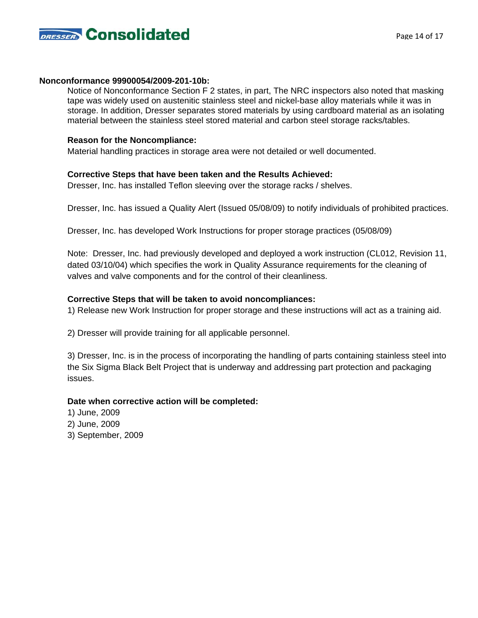

#### **Nonconformance 99900054/2009-201-10b:**

Notice of Nonconformance Section F 2 states, in part, The NRC inspectors also noted that masking tape was widely used on austenitic stainless steel and nickel-base alloy materials while it was in storage. In addition, Dresser separates stored materials by using cardboard material as an isolating material between the stainless steel stored material and carbon steel storage racks/tables.

### **Reason for the Noncompliance:**

Material handling practices in storage area were not detailed or well documented.

### **Corrective Steps that have been taken and the Results Achieved:**

Dresser, Inc. has installed Teflon sleeving over the storage racks / shelves.

Dresser, Inc. has issued a Quality Alert (Issued 05/08/09) to notify individuals of prohibited practices.

Dresser, Inc. has developed Work Instructions for proper storage practices (05/08/09)

Note: Dresser, Inc. had previously developed and deployed a work instruction (CL012, Revision 11, dated 03/10/04) which specifies the work in Quality Assurance requirements for the cleaning of valves and valve components and for the control of their cleanliness.

### **Corrective Steps that will be taken to avoid noncompliances:**

1) Release new Work Instruction for proper storage and these instructions will act as a training aid.

2) Dresser will provide training for all applicable personnel.

3) Dresser, Inc. is in the process of incorporating the handling of parts containing stainless steel into the Six Sigma Black Belt Project that is underway and addressing part protection and packaging issues.

## **Date when corrective action will be completed:**

- 1) June, 2009
- 2) June, 2009
- 3) September, 2009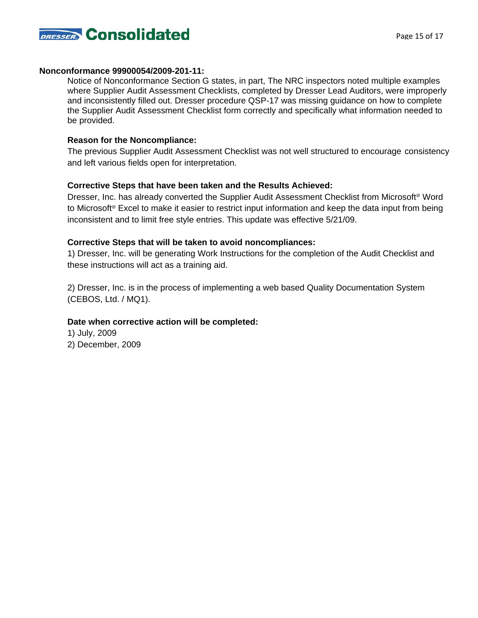

#### **Nonconformance 99900054/2009-201-11:**

Notice of Nonconformance Section G states, in part, The NRC inspectors noted multiple examples where Supplier Audit Assessment Checklists, completed by Dresser Lead Auditors, were improperly and inconsistently filled out. Dresser procedure QSP-17 was missing guidance on how to complete the Supplier Audit Assessment Checklist form correctly and specifically what information needed to be provided.

#### **Reason for the Noncompliance:**

The previous Supplier Audit Assessment Checklist was not well structured to encourage consistency and left various fields open for interpretation.

#### **Corrective Steps that have been taken and the Results Achieved:**

Dresser, Inc. has already converted the Supplier Audit Assessment Checklist from Microsoft<sup>®</sup> Word to Microsoft<sup>®</sup> Excel to make it easier to restrict input information and keep the data input from being inconsistent and to limit free style entries. This update was effective 5/21/09.

#### **Corrective Steps that will be taken to avoid noncompliances:**

1) Dresser, Inc. will be generating Work Instructions for the completion of the Audit Checklist and these instructions will act as a training aid.

2) Dresser, Inc. is in the process of implementing a web based Quality Documentation System (CEBOS, Ltd. / MQ1).

#### **Date when corrective action will be completed:**

- 1) July, 2009
- 2) December, 2009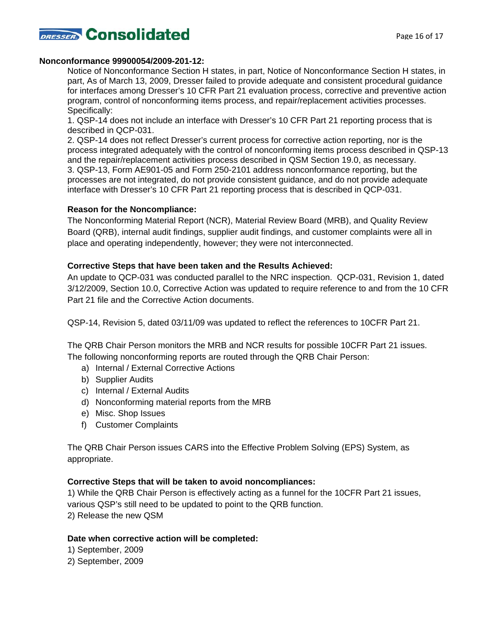

#### **Nonconformance 99900054/2009-201-12:**

Notice of Nonconformance Section H states, in part, Notice of Nonconformance Section H states, in part, As of March 13, 2009, Dresser failed to provide adequate and consistent procedural guidance for interfaces among Dresser's 10 CFR Part 21 evaluation process, corrective and preventive action program, control of nonconforming items process, and repair/replacement activities processes. Specifically:

1. QSP-14 does not include an interface with Dresser's 10 CFR Part 21 reporting process that is described in QCP-031.

2. QSP-14 does not reflect Dresser's current process for corrective action reporting, nor is the process integrated adequately with the control of nonconforming items process described in QSP-13 and the repair/replacement activities process described in QSM Section 19.0, as necessary. 3. QSP-13, Form AE901-05 and Form 250-2101 address nonconformance reporting, but the processes are not integrated, do not provide consistent guidance, and do not provide adequate interface with Dresser's 10 CFR Part 21 reporting process that is described in QCP-031.

#### **Reason for the Noncompliance:**

The Nonconforming Material Report (NCR), Material Review Board (MRB), and Quality Review Board (QRB), internal audit findings, supplier audit findings, and customer complaints were all in place and operating independently, however; they were not interconnected.

#### **Corrective Steps that have been taken and the Results Achieved:**

An update to QCP-031 was conducted parallel to the NRC inspection. QCP-031, Revision 1, dated 3/12/2009, Section 10.0, Corrective Action was updated to require reference to and from the 10 CFR Part 21 file and the Corrective Action documents.

QSP-14, Revision 5, dated 03/11/09 was updated to reflect the references to 10CFR Part 21.

The QRB Chair Person monitors the MRB and NCR results for possible 10CFR Part 21 issues. The following nonconforming reports are routed through the QRB Chair Person:

- a) Internal / External Corrective Actions
- b) Supplier Audits
- c) Internal / External Audits
- d) Nonconforming material reports from the MRB
- e) Misc. Shop Issues
- f) Customer Complaints

The QRB Chair Person issues CARS into the Effective Problem Solving (EPS) System, as appropriate.

#### **Corrective Steps that will be taken to avoid noncompliances:**

1) While the QRB Chair Person is effectively acting as a funnel for the 10CFR Part 21 issues, various QSP's still need to be updated to point to the QRB function. 2) Release the new QSM

## **Date when corrective action will be completed:**

1) September, 2009

2) September, 2009